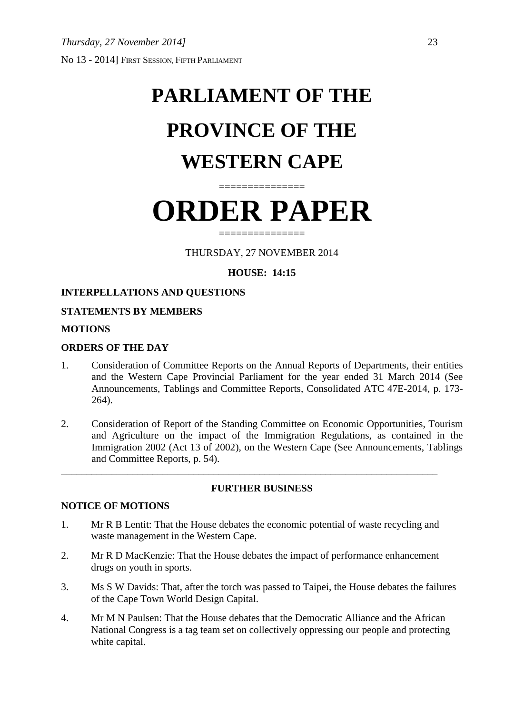# **PARLIAMENT OF THE PROVINCE OF THE WESTERN CAPE**

# **ORDER PAPER**

===============

===============

THURSDAY, 27 NOVEMBER 2014

## **HOUSE: 14:15**

### **INTERPELLATIONS AND QUESTIONS**

#### **STATEMENTS BY MEMBERS**

#### **MOTIONS**

#### **ORDERS OF THE DAY**

- 1. Consideration of Committee Reports on the Annual Reports of Departments, their entities and the Western Cape Provincial Parliament for the year ended 31 March 2014 (See Announcements, Tablings and Committee Reports, Consolidated ATC 47E-2014, p. 173- 264).
- 2. Consideration of Report of the Standing Committee on Economic Opportunities, Tourism and Agriculture on the impact of the Immigration Regulations, as contained in the Immigration 2002 (Act 13 of 2002), on the Western Cape (See Announcements, Tablings and Committee Reports, p. 54).

#### **FURTHER BUSINESS**

#### **NOTICE OF MOTIONS**

1. Mr R B Lentit: That the House debates the economic potential of waste recycling and waste management in the Western Cape.

\_\_\_\_\_\_\_\_\_\_\_\_\_\_\_\_\_\_\_\_\_\_\_\_\_\_\_\_\_\_\_\_\_\_\_\_\_\_\_\_\_\_\_\_\_\_\_\_\_\_\_\_\_\_\_\_\_\_\_\_\_\_\_\_\_\_\_\_\_\_\_\_\_\_

- 2. Mr R D MacKenzie: That the House debates the impact of performance enhancement drugs on youth in sports.
- 3. Ms S W Davids: That, after the torch was passed to Taipei, the House debates the failures of the Cape Town World Design Capital.
- 4. Mr M N Paulsen: That the House debates that the Democratic Alliance and the African National Congress is a tag team set on collectively oppressing our people and protecting white capital.